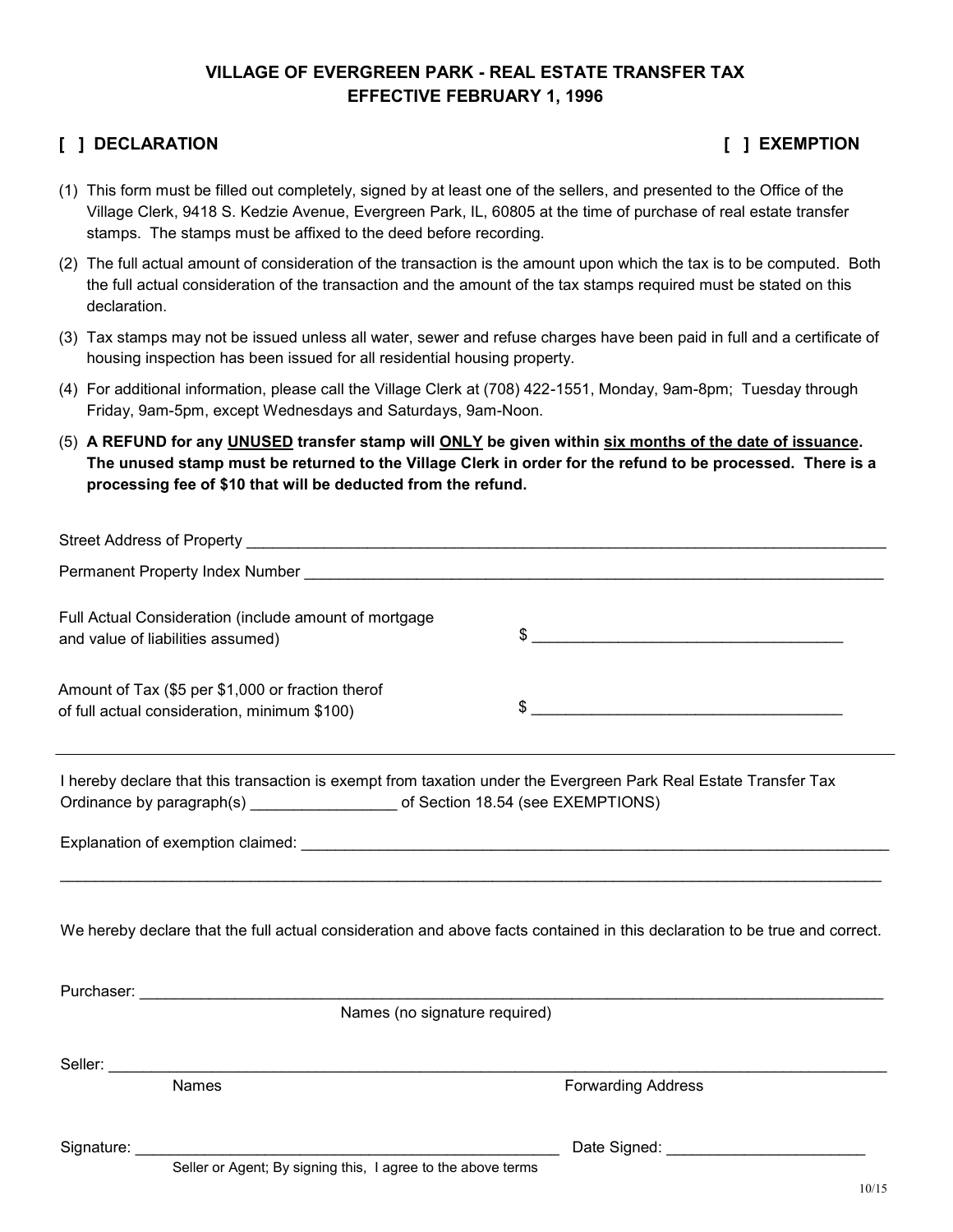### **VILLAGE OF EVERGREEN PARK - REAL ESTATE TRANSFER TAX EFFECTIVE FEBRUARY 1, 1996**

### **[ ] DECLARATION [ ] EXEMPTION**

- (1) This form must be filled out completely, signed by at least one of the sellers, and presented to the Office of the Village Clerk, 9418 S. Kedzie Avenue, Evergreen Park, IL, 60805 at the time of purchase of real estate transfer stamps. The stamps must be affixed to the deed before recording.
- (2) The full actual amount of consideration of the transaction is the amount upon which the tax is to be computed. Both the full actual consideration of the transaction and the amount of the tax stamps required must be stated on this declaration.
- (3) Tax stamps may not be issued unless all water, sewer and refuse charges have been paid in full and a certificate of housing inspection has been issued for all residential housing property.
- (4) For additional information, please call the Village Clerk at (708) 422-1551, Monday, 9am-8pm; Tuesday through Friday, 9am-5pm, except Wednesdays and Saturdays, 9am-Noon.
- (5) **A REFUND for any UNUSED transfer stamp will ONLY be given within six months of the date of issuance. The unused stamp must be returned to the Village Clerk in order for the refund to be processed. There is a processing fee of \$10 that will be deducted from the refund.**

| Full Actual Consideration (include amount of mortgage<br>and value of liabilities assumed)                                 | $\frac{1}{2}$             |
|----------------------------------------------------------------------------------------------------------------------------|---------------------------|
| Amount of Tax (\$5 per \$1,000 or fraction therof<br>of full actual consideration, minimum \$100)                          | $\frac{1}{2}$             |
| I hereby declare that this transaction is exempt from taxation under the Evergreen Park Real Estate Transfer Tax           |                           |
|                                                                                                                            |                           |
| We hereby declare that the full actual consideration and above facts contained in this declaration to be true and correct. |                           |
|                                                                                                                            |                           |
| Names (no signature required)                                                                                              |                           |
|                                                                                                                            |                           |
| <b>Names</b>                                                                                                               | <b>Forwarding Address</b> |
| Seller or Agent: By signing this. I agree to the above terms                                                               |                           |